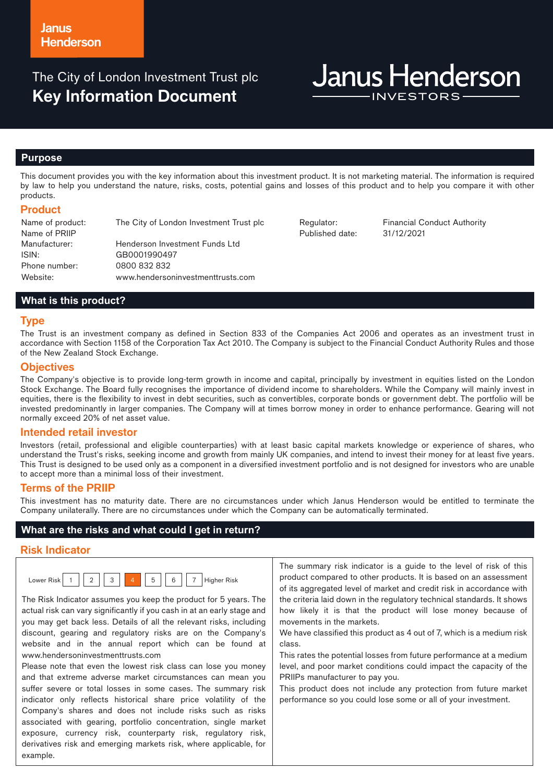The City of London Investment Trust plc **Key Information Document**

# **Janus Henderson**

#### **Purpose**

This document provides you with the key information about this investment product. It is not marketing material. The information is required by law to help you understand the nature, risks, costs, potential gains and losses of this product and to help you compare it with other products.

## **Product**

Name of product: The City of London Investment Trust plc Regulator: Financial Conduct Authority Name of PRIIP Manufacturer: Henderson Investment Funds Ltd ISIN: GB0001990497 Phone number: 0800 832 832 Website: www.hendersoninvestmenttrusts.com

Published date: 31/12/2021

# **What is this product?**

#### **Type**

The Trust is an investment company as defined in Section 833 of the Companies Act 2006 and operates as an investment trust in accordance with Section 1158 of the Corporation Tax Act 2010. The Company is subject to the Financial Conduct Authority Rules and those of the New Zealand Stock Exchange.

#### **Objectives**

The Company's objective is to provide long-term growth in income and capital, principally by investment in equities listed on the London Stock Exchange. The Board fully recognises the importance of dividend income to shareholders. While the Company will mainly invest in equities, there is the flexibility to invest in debt securities, such as convertibles, corporate bonds or government debt. The portfolio will be invested predominantly in larger companies. The Company will at times borrow money in order to enhance performance. Gearing will not normally exceed 20% of net asset value.

#### **Intended retail investor**

Investors (retail, professional and eligible counterparties) with at least basic capital markets knowledge or experience of shares, who understand the Trust's risks, seeking income and growth from mainly UK companies, and intend to invest their money for at least five years. This Trust is designed to be used only as a component in a diversified investment portfolio and is not designed for investors who are unable to accept more than a minimal loss of their investment.

#### **Terms of the PRIIP**

This investment has no maturity date. There are no circumstances under which Janus Henderson would be entitled to terminate the Company unilaterally. There are no circumstances under which the Company can be automatically terminated.

#### **What are the risks and what could I get in return?**

# **Risk Indicator**

| .cl<br>Lower |  | 3 | 5 | 6 | .<br>Higher Risk<br>ັ |
|--------------|--|---|---|---|-----------------------|
|              |  |   |   |   |                       |

The Risk Indicator assumes you keep the product for 5 years. The actual risk can vary significantly if you cash in at an early stage and you may get back less. Details of all the relevant risks, including discount, gearing and regulatory risks are on the Company's website and in the annual report which can be found at www.hendersoninvestmenttrusts.com

Please note that even the lowest risk class can lose you money and that extreme adverse market circumstances can mean you suffer severe or total losses in some cases. The summary risk indicator only reflects historical share price volatility of the Company's shares and does not include risks such as risks associated with gearing, portfolio concentration, single market exposure, currency risk, counterparty risk, regulatory risk, derivatives risk and emerging markets risk, where applicable, for example.

The summary risk indicator is a guide to the level of risk of this product compared to other products. It is based on an assessment of its aggregated level of market and credit risk in accordance with the criteria laid down in the regulatory technical standards. It shows how likely it is that the product will lose money because of movements in the markets.

We have classified this product as 4 out of 7, which is a medium risk class.

This rates the potential losses from future performance at a medium level, and poor market conditions could impact the capacity of the PRIIPs manufacturer to pay you.

This product does not include any protection from future market performance so you could lose some or all of your investment.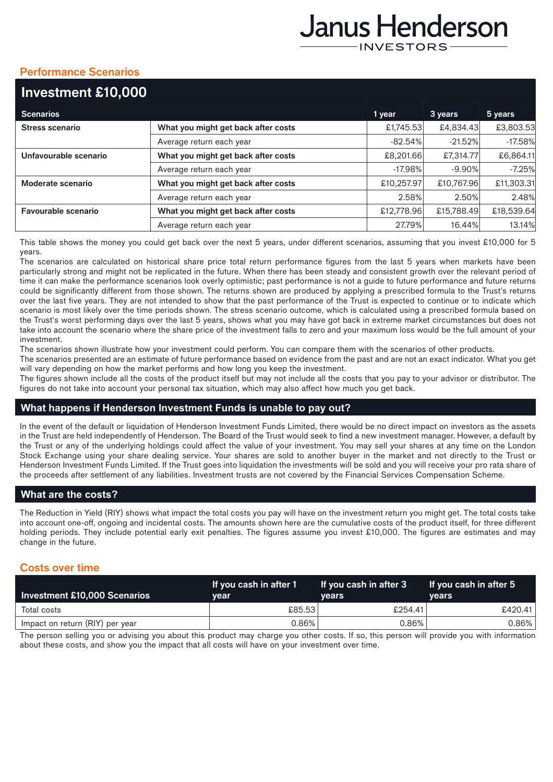# Janus Henderson **INVESTORS**

# **Performance Scenarios**

| Investment £10,000     |                                     |            |            |            |
|------------------------|-------------------------------------|------------|------------|------------|
| <b>Scenarios</b>       |                                     | 1 year     | 3 years    | 5 years    |
| <b>Stress scenario</b> | What you might get back after costs | £1,745.53  | £4,834.43  | £3,803.53  |
|                        | Average return each year            | $-82.54%$  | $-21.52%$  | $-17.58%$  |
| Unfavourable scenario  | What you might get back after costs | £8,201.66  | £7,314.77  | £6,864.11  |
|                        | Average return each year            | $-17.98%$  | $-9.90\%$  | $-7.25%$   |
| Moderate scenario      | What you might get back after costs | £10,257.97 | £10.767.96 | £11,303.31 |
|                        | Average return each year            | 2.58%      | 2.50%      | 2.48%      |
| Favourable scenario    | What you might get back after costs | £12,778.96 | £15,788.49 | £18,539.64 |
|                        | Average return each year            | 27.79%     | 16.44%     | 13.14%     |
|                        |                                     |            |            |            |

This table shows the money you could get back over the next 5 years, under different scenarios, assuming that you invest £10,000 for 5 years.

The scenarios are calculated on historical share price total return performance figures from the last 5 years when markets have been particularly strong and might not be replicated in the future. When there has been steady and consistent growth over the relevant period of time it can make the performance scenarios look overly optimistic; past performance is not a guide to future performance and future returns could be significantly different from those shown. The returns shown are produced by applying a prescribed formula to the Trust's returns over the last five years. They are not intended to show that the past performance of the Trust is expected to continue or to indicate which scenario is most likely over the time periods shown. The stress scenario outcome, which is calculated using a prescribed formula based on the Trust's worst performing days over the last 5 years, shows what you may have got back in extreme market circumstances but does not take into account the scenario where the share price of the investment falls to zero and your maximum loss would be the full amount of your investment.

The scenarios shown illustrate how your investment could perform. You can compare them with the scenarios of other products.

The scenarios presented are an estimate of future performance based on evidence from the past and are not an exact indicator. What you get will vary depending on how the market performs and how long you keep the investment.

The figures shown include all the costs of the product itself but may not include all the costs that you pay to your advisor or distributor. The figures do not take into account your personal tax situation, which may also affect how much you get back.

# **What happens if Henderson Investment Funds is unable to pay out?**

In the event of the default or liquidation of Henderson Investment Funds Limited, there would be no direct impact on investors as the assets in the Trust are held independently of Henderson. The Board of the Trust would seek to find a new investment manager. However, a default by the Trust or any of the underlying holdings could affect the value of your investment. You may sell your shares at any time on the London Stock Exchange using your share dealing service. Your shares are sold to another buyer in the market and not directly to the Trust or Henderson Investment Funds Limited. If the Trust goes into liquidation the investments will be sold and you will receive your pro rata share of the proceeds after settlement of any liabilities. Investment trusts are not covered by the Financial Services Compensation Scheme.

# **What are the costs?**

The Reduction in Yield (RIY) shows what impact the total costs you pay will have on the investment return you might get. The total costs take into account one-off, ongoing and incidental costs. The amounts shown here are the cumulative costs of the product itself, for three different holding periods. They include potential early exit penalties. The figures assume you invest £10,000. The figures are estimates and may change in the future.

# **Costs over time**

| Investment £10,000 Scenarios    | If you cash in after 1<br>vear | If you cash in after 3<br><b>vears</b> | If you cash in after 5<br><b>vears</b> |
|---------------------------------|--------------------------------|----------------------------------------|----------------------------------------|
| Total costs                     | £85.53                         | £254.41                                | £420.41                                |
| Impact on return (RIY) per year | 0.86%                          | $0.86\%$                               | 0.86%                                  |

The person selling you or advising you about this product may charge you other costs. If so, this person will provide you with information about these costs, and show you the impact that all costs will have on your investment over time.